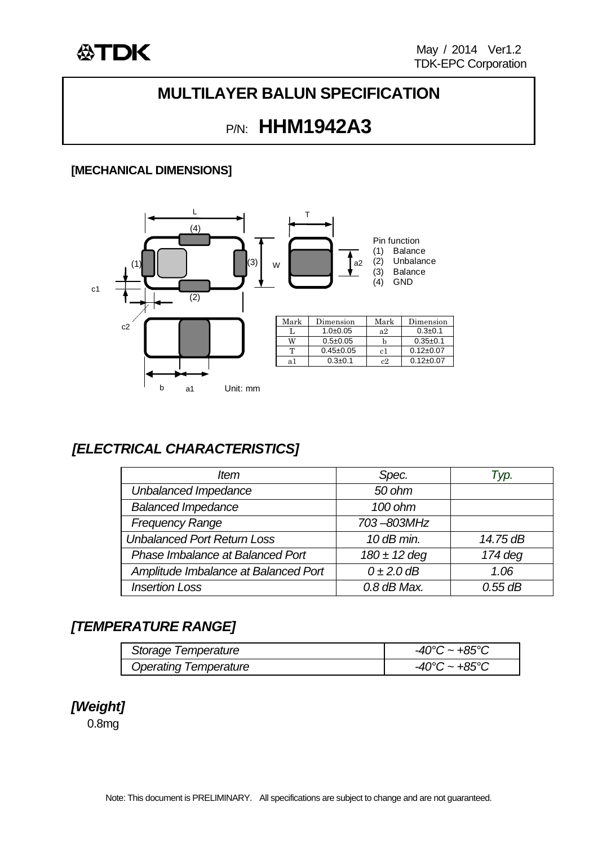

## **MULTILAYER BALUN SPECIFICATION**

# P/N: **HHM1942A3**

#### **[MECHANICAL DIMENSIONS]**



### *[ELECTRICAL CHARACTERISTICS]*

| ltem                                 | Spec.            | Typ.      |
|--------------------------------------|------------------|-----------|
| Unbalanced Impedance                 | 50 ohm           |           |
| <b>Balanced Impedance</b>            | 100 ohm          |           |
| <b>Frequency Range</b>               | 703-803MHz       |           |
| <b>Unbalanced Port Return Loss</b>   | $10$ dB min.     | 14.75 dB  |
| Phase Imbalance at Balanced Port     | $180 \pm 12$ deg | $174$ deg |
| Amplitude Imbalance at Balanced Port | $0\pm2.0$ dB     | 1.06      |
| <b>Insertion Loss</b>                | $0.8$ dB Max.    | $0.55$ dB |

#### *[TEMPERATURE RANGE]*

| Storage Temperature          | $-40^{\circ}$ C ~ $+85^{\circ}$ C |
|------------------------------|-----------------------------------|
| <b>Operating Temperature</b> | $-40^{\circ}$ C ~ $+85^{\circ}$ C |

#### *[Weight]*

0.8mg